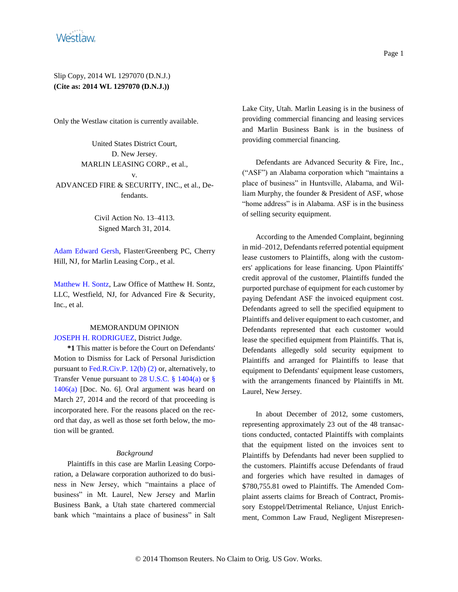

Only the Westlaw citation is currently available.

United States District Court, D. New Jersey. MARLIN LEASING CORP., et al., v. ADVANCED FIRE & SECURITY, INC., et al., Defendants.

> Civil Action No. 13–4113. Signed March 31, 2014.

[Adam Edward Gersh,](http://www.westlaw.com/Find/Default.wl?rs=dfa1.0&vr=2.0&DB=PROFILER-WLD&DocName=0336514801&FindType=h) Flaster/Greenberg PC, Cherry Hill, NJ, for Marlin Leasing Corp., et al.

[Matthew H. Sontz,](http://www.westlaw.com/Find/Default.wl?rs=dfa1.0&vr=2.0&DB=PROFILER-WLD&DocName=0343382401&FindType=h) Law Office of Matthew H. Sontz, LLC, Westfield, NJ, for Advanced Fire & Security, Inc., et al.

### MEMORANDUM OPINION [JOSEPH H. RODRIGUEZ,](http://www.westlaw.com/Find/Default.wl?rs=dfa1.0&vr=2.0&DB=PROFILER-WLD&DocName=0255185201&FindType=h) District Judge.

**\*1** This matter is before the Court on Defendants' Motion to Dismiss for Lack of Personal Jurisdiction pursuant to [Fed.R.Civ.P. 12\(b\) \(2\)](http://www.westlaw.com/Find/Default.wl?rs=dfa1.0&vr=2.0&DB=1004365&DocName=USFRCPR12&FindType=L) or, alternatively, to Transfer Venue pursuant to [28 U.S.C. § 1404\(a\)](http://www.westlaw.com/Find/Default.wl?rs=dfa1.0&vr=2.0&DB=1000546&DocName=28USCAS1404&FindType=L&ReferencePositionType=T&ReferencePosition=SP_8b3b0000958a4) or [§](http://www.westlaw.com/Find/Default.wl?rs=dfa1.0&vr=2.0&DB=1000546&DocName=28USCAS1406&FindType=L&ReferencePositionType=T&ReferencePosition=SP_8b3b0000958a4)  [1406\(a\)](http://www.westlaw.com/Find/Default.wl?rs=dfa1.0&vr=2.0&DB=1000546&DocName=28USCAS1406&FindType=L&ReferencePositionType=T&ReferencePosition=SP_8b3b0000958a4) [Doc. No. 6]. Oral argument was heard on March 27, 2014 and the record of that proceeding is incorporated here. For the reasons placed on the record that day, as well as those set forth below, the motion will be granted.

#### *Background*

Plaintiffs in this case are Marlin Leasing Corporation, a Delaware corporation authorized to do business in New Jersey, which "maintains a place of business" in Mt. Laurel, New Jersey and Marlin Business Bank, a Utah state chartered commercial bank which "maintains a place of business" in Salt Lake City, Utah. Marlin Leasing is in the business of providing commercial financing and leasing services and Marlin Business Bank is in the business of providing commercial financing.

Defendants are Advanced Security & Fire, Inc., ("ASF") an Alabama corporation which "maintains a place of business" in Huntsville, Alabama, and William Murphy, the founder & President of ASF, whose "home address" is in Alabama. ASF is in the business of selling security equipment.

According to the Amended Complaint, beginning in mid–2012, Defendants referred potential equipment lease customers to Plaintiffs, along with the customers' applications for lease financing. Upon Plaintiffs' credit approval of the customer, Plaintiffs funded the purported purchase of equipment for each customer by paying Defendant ASF the invoiced equipment cost. Defendants agreed to sell the specified equipment to Plaintiffs and deliver equipment to each customer, and Defendants represented that each customer would lease the specified equipment from Plaintiffs. That is, Defendants allegedly sold security equipment to Plaintiffs and arranged for Plaintiffs to lease that equipment to Defendants' equipment lease customers, with the arrangements financed by Plaintiffs in Mt. Laurel, New Jersey.

In about December of 2012, some customers, representing approximately 23 out of the 48 transactions conducted, contacted Plaintiffs with complaints that the equipment listed on the invoices sent to Plaintiffs by Defendants had never been supplied to the customers. Plaintiffs accuse Defendants of fraud and forgeries which have resulted in damages of \$780,755.81 owed to Plaintiffs. The Amended Complaint asserts claims for Breach of Contract, Promissory Estoppel/Detrimental Reliance, Unjust Enrichment, Common Law Fraud, Negligent Misrepresen-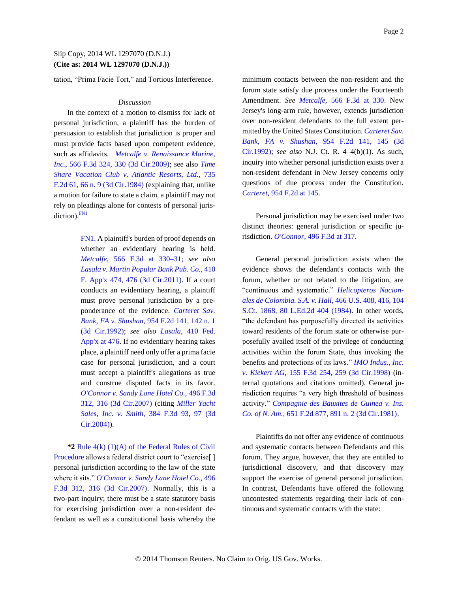tation, "Prima Facie Tort," and Tortious Interference.

#### *Discussion*

In the context of a motion to dismiss for lack of personal jurisdiction, a plaintiff has the burden of persuasion to establish that jurisdiction is proper and must provide facts based upon competent evidence, such as affidavits. *[Metcalfe v. Renaissance Marine,](http://www.westlaw.com/Find/Default.wl?rs=dfa1.0&vr=2.0&DB=506&FindType=Y&ReferencePositionType=S&SerialNum=2018872195&ReferencePosition=330)  [Inc.,](http://www.westlaw.com/Find/Default.wl?rs=dfa1.0&vr=2.0&DB=506&FindType=Y&ReferencePositionType=S&SerialNum=2018872195&ReferencePosition=330)* [566 F.3d 324, 330 \(3d Cir.2009\);](http://www.westlaw.com/Find/Default.wl?rs=dfa1.0&vr=2.0&DB=506&FindType=Y&ReferencePositionType=S&SerialNum=2018872195&ReferencePosition=330) see also *[Time](http://www.westlaw.com/Find/Default.wl?rs=dfa1.0&vr=2.0&DB=350&FindType=Y&ReferencePositionType=S&SerialNum=1984125486&ReferencePosition=66)  [Share Vacation Club v. Atlantic Resorts, Ltd.,](http://www.westlaw.com/Find/Default.wl?rs=dfa1.0&vr=2.0&DB=350&FindType=Y&ReferencePositionType=S&SerialNum=1984125486&ReferencePosition=66)* [735](http://www.westlaw.com/Find/Default.wl?rs=dfa1.0&vr=2.0&DB=350&FindType=Y&ReferencePositionType=S&SerialNum=1984125486&ReferencePosition=66)  [F.2d 61, 66 n. 9 \(3d Cir.1984\)](http://www.westlaw.com/Find/Default.wl?rs=dfa1.0&vr=2.0&DB=350&FindType=Y&ReferencePositionType=S&SerialNum=1984125486&ReferencePosition=66) (explaining that, unlike a motion for failure to state a claim, a plaintiff may not rely on pleadings alone for contests of personal juris $diction$ <sup>[FN1](#page-1-0)</sup>

> <span id="page-1-1"></span><span id="page-1-0"></span>[FN1.](#page-1-1) A plaintiff's burden of proof depends on whether an evidentiary hearing is held. *[Metcalfe,](http://www.westlaw.com/Find/Default.wl?rs=dfa1.0&vr=2.0&DB=506&FindType=Y&ReferencePositionType=S&SerialNum=2018872195&ReferencePosition=330)* [566 F.3d at 330–31;](http://www.westlaw.com/Find/Default.wl?rs=dfa1.0&vr=2.0&DB=506&FindType=Y&ReferencePositionType=S&SerialNum=2018872195&ReferencePosition=330) *see also [Lasala v. Martin Popular Bank Pub. Co.,](http://www.westlaw.com/Find/Default.wl?rs=dfa1.0&vr=2.0&DB=6538&FindType=Y&ReferencePositionType=S&SerialNum=2024323053&ReferencePosition=476)* [410](http://www.westlaw.com/Find/Default.wl?rs=dfa1.0&vr=2.0&DB=6538&FindType=Y&ReferencePositionType=S&SerialNum=2024323053&ReferencePosition=476)  [F. App'x 474, 476 \(3d Cir.2011\).](http://www.westlaw.com/Find/Default.wl?rs=dfa1.0&vr=2.0&DB=6538&FindType=Y&ReferencePositionType=S&SerialNum=2024323053&ReferencePosition=476) If a court conducts an evidentiary hearing, a plaintiff must prove personal jurisdiction by a preponderance of the evidence. *[Carteret Sav.](http://www.westlaw.com/Find/Default.wl?rs=dfa1.0&vr=2.0&DB=350&FindType=Y&ReferencePositionType=S&SerialNum=1992022302&ReferencePosition=142)  [Bank, FA v. Shushan,](http://www.westlaw.com/Find/Default.wl?rs=dfa1.0&vr=2.0&DB=350&FindType=Y&ReferencePositionType=S&SerialNum=1992022302&ReferencePosition=142)* [954 F.2d 141, 142 n. 1](http://www.westlaw.com/Find/Default.wl?rs=dfa1.0&vr=2.0&DB=350&FindType=Y&ReferencePositionType=S&SerialNum=1992022302&ReferencePosition=142)  [\(3d Cir.1992\);](http://www.westlaw.com/Find/Default.wl?rs=dfa1.0&vr=2.0&DB=350&FindType=Y&ReferencePositionType=S&SerialNum=1992022302&ReferencePosition=142) *see also [Lasala,](http://www.westlaw.com/Find/Default.wl?rs=dfa1.0&vr=2.0&DB=6538&FindType=Y&ReferencePositionType=S&SerialNum=2024323053&ReferencePosition=476)* [410 Fed.](http://www.westlaw.com/Find/Default.wl?rs=dfa1.0&vr=2.0&DB=6538&FindType=Y&ReferencePositionType=S&SerialNum=2024323053&ReferencePosition=476)  [App'x at 476.](http://www.westlaw.com/Find/Default.wl?rs=dfa1.0&vr=2.0&DB=6538&FindType=Y&ReferencePositionType=S&SerialNum=2024323053&ReferencePosition=476) If no evidentiary hearing takes place, a plaintiff need only offer a prima facie case for personal jurisdiction, and a court must accept a plaintiff's allegations as true and construe disputed facts in its favor. *[O'Connor v. Sandy Lane Hotel Co.,](http://www.westlaw.com/Find/Default.wl?rs=dfa1.0&vr=2.0&DB=506&FindType=Y&ReferencePositionType=S&SerialNum=2012787341&ReferencePosition=316)* [496 F.3d](http://www.westlaw.com/Find/Default.wl?rs=dfa1.0&vr=2.0&DB=506&FindType=Y&ReferencePositionType=S&SerialNum=2012787341&ReferencePosition=316)  [312, 316 \(3d Cir.2007\)](http://www.westlaw.com/Find/Default.wl?rs=dfa1.0&vr=2.0&DB=506&FindType=Y&ReferencePositionType=S&SerialNum=2012787341&ReferencePosition=316) (citing *[Miller Yacht](http://www.westlaw.com/Find/Default.wl?rs=dfa1.0&vr=2.0&DB=506&FindType=Y&ReferencePositionType=S&SerialNum=2005123699&ReferencePosition=97)  [Sales, Inc. v. Smith,](http://www.westlaw.com/Find/Default.wl?rs=dfa1.0&vr=2.0&DB=506&FindType=Y&ReferencePositionType=S&SerialNum=2005123699&ReferencePosition=97)* [384 F.3d 93, 97 \(3d](http://www.westlaw.com/Find/Default.wl?rs=dfa1.0&vr=2.0&DB=506&FindType=Y&ReferencePositionType=S&SerialNum=2005123699&ReferencePosition=97)  [Cir.2004\)\)](http://www.westlaw.com/Find/Default.wl?rs=dfa1.0&vr=2.0&DB=506&FindType=Y&ReferencePositionType=S&SerialNum=2005123699&ReferencePosition=97).

**\*2** [Rule 4\(k\) \(1\)\(A\) of the Federal Rules of Civil](http://www.westlaw.com/Find/Default.wl?rs=dfa1.0&vr=2.0&DB=1004365&DocName=USFRCPR4&FindType=L)  [Procedure](http://www.westlaw.com/Find/Default.wl?rs=dfa1.0&vr=2.0&DB=1004365&DocName=USFRCPR4&FindType=L) allows a federal district court to "exercise"[] personal jurisdiction according to the law of the state where it sits." *[O'Connor v. Sandy Lane Hotel Co.,](http://www.westlaw.com/Find/Default.wl?rs=dfa1.0&vr=2.0&DB=506&FindType=Y&ReferencePositionType=S&SerialNum=2012787341&ReferencePosition=316)* [496](http://www.westlaw.com/Find/Default.wl?rs=dfa1.0&vr=2.0&DB=506&FindType=Y&ReferencePositionType=S&SerialNum=2012787341&ReferencePosition=316)  [F.3d 312, 316 \(3d Cir.2007\).](http://www.westlaw.com/Find/Default.wl?rs=dfa1.0&vr=2.0&DB=506&FindType=Y&ReferencePositionType=S&SerialNum=2012787341&ReferencePosition=316) Normally, this is a two-part inquiry; there must be a state statutory basis for exercising jurisdiction over a non-resident defendant as well as a constitutional basis whereby the

minimum contacts between the non-resident and the forum state satisfy due process under the Fourteenth Amendment. *See [Metcalfe,](http://www.westlaw.com/Find/Default.wl?rs=dfa1.0&vr=2.0&DB=506&FindType=Y&ReferencePositionType=S&SerialNum=2018872195&ReferencePosition=330)* [566 F.3d at 330.](http://www.westlaw.com/Find/Default.wl?rs=dfa1.0&vr=2.0&DB=506&FindType=Y&ReferencePositionType=S&SerialNum=2018872195&ReferencePosition=330) New Jersey's long-arm rule, however, extends jurisdiction over non-resident defendants to the full extent permitted by the United States Constitution. *[Carteret Sav.](http://www.westlaw.com/Find/Default.wl?rs=dfa1.0&vr=2.0&DB=350&FindType=Y&ReferencePositionType=S&SerialNum=1992022302&ReferencePosition=145)  [Bank, FA v. Shushan,](http://www.westlaw.com/Find/Default.wl?rs=dfa1.0&vr=2.0&DB=350&FindType=Y&ReferencePositionType=S&SerialNum=1992022302&ReferencePosition=145)* [954 F.2d 141, 145 \(3d](http://www.westlaw.com/Find/Default.wl?rs=dfa1.0&vr=2.0&DB=350&FindType=Y&ReferencePositionType=S&SerialNum=1992022302&ReferencePosition=145)  [Cir.1992\);](http://www.westlaw.com/Find/Default.wl?rs=dfa1.0&vr=2.0&DB=350&FindType=Y&ReferencePositionType=S&SerialNum=1992022302&ReferencePosition=145) *see also* N.J. Ct. R. 4–4(b)(1). As such, inquiry into whether personal jurisdiction exists over a non-resident defendant in New Jersey concerns only questions of due process under the Constitution. *[Carteret,](http://www.westlaw.com/Find/Default.wl?rs=dfa1.0&vr=2.0&DB=350&FindType=Y&ReferencePositionType=S&SerialNum=1992022302&ReferencePosition=145)* [954 F.2d at 145.](http://www.westlaw.com/Find/Default.wl?rs=dfa1.0&vr=2.0&DB=350&FindType=Y&ReferencePositionType=S&SerialNum=1992022302&ReferencePosition=145)

Personal jurisdiction may be exercised under two distinct theories: general jurisdiction or specific jurisdiction. *[O'Connor,](http://www.westlaw.com/Find/Default.wl?rs=dfa1.0&vr=2.0&DB=506&FindType=Y&ReferencePositionType=S&SerialNum=2012787341&ReferencePosition=317)* [496 F.3d at 317.](http://www.westlaw.com/Find/Default.wl?rs=dfa1.0&vr=2.0&DB=506&FindType=Y&ReferencePositionType=S&SerialNum=2012787341&ReferencePosition=317)

General personal jurisdiction exists when the evidence shows the defendant's contacts with the forum, whether or not related to the litigation, are "continuous and systematic." *[Helicopteros Nacion](http://www.westlaw.com/Find/Default.wl?rs=dfa1.0&vr=2.0&DB=708&FindType=Y&SerialNum=1984119960)[ales de Colombia. S.A. v. Hall,](http://www.westlaw.com/Find/Default.wl?rs=dfa1.0&vr=2.0&DB=708&FindType=Y&SerialNum=1984119960)* [466 U.S. 408, 416, 104](http://www.westlaw.com/Find/Default.wl?rs=dfa1.0&vr=2.0&DB=708&FindType=Y&SerialNum=1984119960)  [S.Ct. 1868, 80 L.Ed.2d 404 \(1984\).](http://www.westlaw.com/Find/Default.wl?rs=dfa1.0&vr=2.0&DB=708&FindType=Y&SerialNum=1984119960) In other words, "the defendant has purposefully directed its activities toward residents of the forum state or otherwise purposefully availed itself of the privilege of conducting activities within the forum State, thus invoking the benefits and protections of its laws." *[IMO Indus., Inc.](http://www.westlaw.com/Find/Default.wl?rs=dfa1.0&vr=2.0&DB=506&FindType=Y&ReferencePositionType=S&SerialNum=1998184326&ReferencePosition=259)  [v. Kiekert AG,](http://www.westlaw.com/Find/Default.wl?rs=dfa1.0&vr=2.0&DB=506&FindType=Y&ReferencePositionType=S&SerialNum=1998184326&ReferencePosition=259)* [155 F.3d 254, 259 \(3d Cir.1998\)](http://www.westlaw.com/Find/Default.wl?rs=dfa1.0&vr=2.0&DB=506&FindType=Y&ReferencePositionType=S&SerialNum=1998184326&ReferencePosition=259) (internal quotations and citations omitted). General jurisdiction requires "a very high threshold of business activity." *[Compagnie des Bauxites de Guinea v. Ins.](http://www.westlaw.com/Find/Default.wl?rs=dfa1.0&vr=2.0&DB=350&FindType=Y&ReferencePositionType=S&SerialNum=1981125712&ReferencePosition=891)  [Co. of N. Am.,](http://www.westlaw.com/Find/Default.wl?rs=dfa1.0&vr=2.0&DB=350&FindType=Y&ReferencePositionType=S&SerialNum=1981125712&ReferencePosition=891)* [651 F.2d 877, 891 n. 2 \(3d Cir.1981\).](http://www.westlaw.com/Find/Default.wl?rs=dfa1.0&vr=2.0&DB=350&FindType=Y&ReferencePositionType=S&SerialNum=1981125712&ReferencePosition=891)

Plaintiffs do not offer any evidence of continuous and systematic contacts between Defendants and this forum. They argue, however, that they are entitled to jurisdictional discovery, and that discovery may support the exercise of general personal jurisdiction. In contrast, Defendants have offered the following uncontested statements regarding their lack of continuous and systematic contacts with the state: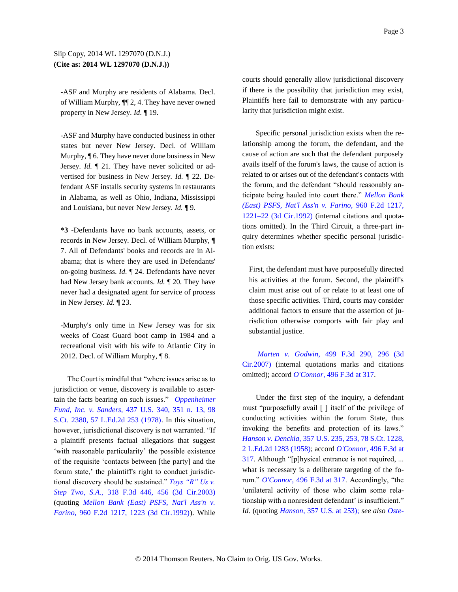-ASF and Murphy are residents of Alabama. Decl. of William Murphy, ¶¶ 2, 4. They have never owned property in New Jersey. *Id.* ¶ 19.

-ASF and Murphy have conducted business in other states but never New Jersey. Decl. of William Murphy, ¶ 6. They have never done business in New Jersey. *Id.* ¶ 21. They have never solicited or advertised for business in New Jersey. *Id.* ¶ 22. Defendant ASF installs security systems in restaurants in Alabama, as well as Ohio, Indiana, Mississippi and Louisiana, but never New Jersey. *Id.* ¶ 9.

**\*3** -Defendants have no bank accounts, assets, or records in New Jersey. Decl. of William Murphy, ¶ 7. All of Defendants' books and records are in Alabama; that is where they are used in Defendants' on-going business. *Id.* ¶ 24. Defendants have never had New Jersey bank accounts. *Id.* ¶ 20. They have never had a designated agent for service of process in New Jersey. *Id.* ¶ 23.

-Murphy's only time in New Jersey was for six weeks of Coast Guard boot camp in 1984 and a recreational visit with his wife to Atlantic City in 2012. Decl. of William Murphy, ¶ 8.

The Court is mindful that "where issues arise as to jurisdiction or venue, discovery is available to ascertain the facts bearing on such issues." *[Oppenheimer](http://www.westlaw.com/Find/Default.wl?rs=dfa1.0&vr=2.0&DB=708&FindType=Y&SerialNum=1978139484)  [Fund, Inc. v. Sanders,](http://www.westlaw.com/Find/Default.wl?rs=dfa1.0&vr=2.0&DB=708&FindType=Y&SerialNum=1978139484)* [437 U.S. 340, 351 n. 13, 98](http://www.westlaw.com/Find/Default.wl?rs=dfa1.0&vr=2.0&DB=708&FindType=Y&SerialNum=1978139484)  [S.Ct. 2380, 57 L.Ed.2d 253 \(1978\).](http://www.westlaw.com/Find/Default.wl?rs=dfa1.0&vr=2.0&DB=708&FindType=Y&SerialNum=1978139484) In this situation, however, jurisdictional discovery is not warranted. "If a plaintiff presents factual allegations that suggest 'with reasonable particularity' the possible existence of the requisite 'contacts between [the party] and the forum state,' the plaintiff's right to conduct jurisdictional discovery should be sustained." *[Toys "R" Us v.](http://www.westlaw.com/Find/Default.wl?rs=dfa1.0&vr=2.0&DB=506&FindType=Y&ReferencePositionType=S&SerialNum=2003112355&ReferencePosition=456)  [Step Two, S.A.,](http://www.westlaw.com/Find/Default.wl?rs=dfa1.0&vr=2.0&DB=506&FindType=Y&ReferencePositionType=S&SerialNum=2003112355&ReferencePosition=456)* [318 F.3d 446, 456 \(3d Cir.2003\)](http://www.westlaw.com/Find/Default.wl?rs=dfa1.0&vr=2.0&DB=506&FindType=Y&ReferencePositionType=S&SerialNum=2003112355&ReferencePosition=456) (quoting *[Mellon Bank \(East\) PSFS, Nat'l Ass'n v.](http://www.westlaw.com/Find/Default.wl?rs=dfa1.0&vr=2.0&DB=350&FindType=Y&ReferencePositionType=S&SerialNum=1992070662&ReferencePosition=1223)  [Farino,](http://www.westlaw.com/Find/Default.wl?rs=dfa1.0&vr=2.0&DB=350&FindType=Y&ReferencePositionType=S&SerialNum=1992070662&ReferencePosition=1223)* [960 F.2d 1217, 1223 \(3d Cir.1992\)\)](http://www.westlaw.com/Find/Default.wl?rs=dfa1.0&vr=2.0&DB=350&FindType=Y&ReferencePositionType=S&SerialNum=1992070662&ReferencePosition=1223). While courts should generally allow jurisdictional discovery if there is the possibility that jurisdiction may exist, Plaintiffs here fail to demonstrate with any particularity that jurisdiction might exist.

Specific personal jurisdiction exists when the relationship among the forum, the defendant, and the cause of action are such that the defendant purposely avails itself of the forum's laws, the cause of action is related to or arises out of the defendant's contacts with the forum, and the defendant "should reasonably anticipate being hauled into court there." *[Mellon Bank](http://www.westlaw.com/Find/Default.wl?rs=dfa1.0&vr=2.0&DB=350&FindType=Y&ReferencePositionType=S&SerialNum=1992070662&ReferencePosition=1221)  [\(East\) PSFS, Nat'l Ass'n v. Farino,](http://www.westlaw.com/Find/Default.wl?rs=dfa1.0&vr=2.0&DB=350&FindType=Y&ReferencePositionType=S&SerialNum=1992070662&ReferencePosition=1221)* [960 F.2d 1217,](http://www.westlaw.com/Find/Default.wl?rs=dfa1.0&vr=2.0&DB=350&FindType=Y&ReferencePositionType=S&SerialNum=1992070662&ReferencePosition=1221)  [1221–22 \(3d Cir.1992\)](http://www.westlaw.com/Find/Default.wl?rs=dfa1.0&vr=2.0&DB=350&FindType=Y&ReferencePositionType=S&SerialNum=1992070662&ReferencePosition=1221) (internal citations and quotations omitted). In the Third Circuit, a three-part inquiry determines whether specific personal jurisdiction exists:

First, the defendant must have purposefully directed his activities at the forum. Second, the plaintiff's claim must arise out of or relate to at least one of those specific activities. Third, courts may consider additional factors to ensure that the assertion of jurisdiction otherwise comports with fair play and substantial justice.

*[Marten v. Godwin,](http://www.westlaw.com/Find/Default.wl?rs=dfa1.0&vr=2.0&DB=506&FindType=Y&ReferencePositionType=S&SerialNum=2012961162&ReferencePosition=296)* [499 F.3d 290, 296 \(3d](http://www.westlaw.com/Find/Default.wl?rs=dfa1.0&vr=2.0&DB=506&FindType=Y&ReferencePositionType=S&SerialNum=2012961162&ReferencePosition=296)  [Cir.2007\)](http://www.westlaw.com/Find/Default.wl?rs=dfa1.0&vr=2.0&DB=506&FindType=Y&ReferencePositionType=S&SerialNum=2012961162&ReferencePosition=296) (internal quotations marks and citations omitted); accord *[O'Connor,](http://www.westlaw.com/Find/Default.wl?rs=dfa1.0&vr=2.0&DB=506&FindType=Y&ReferencePositionType=S&SerialNum=2012787341&ReferencePosition=317)* [496 F.3d at 317.](http://www.westlaw.com/Find/Default.wl?rs=dfa1.0&vr=2.0&DB=506&FindType=Y&ReferencePositionType=S&SerialNum=2012787341&ReferencePosition=317)

Under the first step of the inquiry, a defendant must "purposefully avail [ ] itself of the privilege of conducting activities within the forum State, thus invoking the benefits and protection of its laws." *[Hanson v. Denckla,](http://www.westlaw.com/Find/Default.wl?rs=dfa1.0&vr=2.0&DB=708&FindType=Y&SerialNum=1958121475)* [357 U.S. 235, 253, 78 S.Ct. 1228,](http://www.westlaw.com/Find/Default.wl?rs=dfa1.0&vr=2.0&DB=708&FindType=Y&SerialNum=1958121475)  [2 L.Ed.2d 1283 \(1958\);](http://www.westlaw.com/Find/Default.wl?rs=dfa1.0&vr=2.0&DB=708&FindType=Y&SerialNum=1958121475) accord *[O'Connor,](http://www.westlaw.com/Find/Default.wl?rs=dfa1.0&vr=2.0&DB=506&FindType=Y&ReferencePositionType=S&SerialNum=2012787341&ReferencePosition=317)* [496 F.3d at](http://www.westlaw.com/Find/Default.wl?rs=dfa1.0&vr=2.0&DB=506&FindType=Y&ReferencePositionType=S&SerialNum=2012787341&ReferencePosition=317)  [317.](http://www.westlaw.com/Find/Default.wl?rs=dfa1.0&vr=2.0&DB=506&FindType=Y&ReferencePositionType=S&SerialNum=2012787341&ReferencePosition=317) Although "[p]hysical entrance is not required, ... what is necessary is a deliberate targeting of the forum." *[O'Connor,](http://www.westlaw.com/Find/Default.wl?rs=dfa1.0&vr=2.0&DB=506&FindType=Y&ReferencePositionType=S&SerialNum=2012787341&ReferencePosition=317)* [496 F.3d at 317.](http://www.westlaw.com/Find/Default.wl?rs=dfa1.0&vr=2.0&DB=506&FindType=Y&ReferencePositionType=S&SerialNum=2012787341&ReferencePosition=317) Accordingly, "the 'unilateral activity of those who claim some relationship with a nonresident defendant' is insufficient." *Id.* (quoting *[Hanson,](http://www.westlaw.com/Find/Default.wl?rs=dfa1.0&vr=2.0&DB=780&FindType=Y&ReferencePositionType=S&SerialNum=1958121475&ReferencePosition=253)* [357 U.S. at 253\);](http://www.westlaw.com/Find/Default.wl?rs=dfa1.0&vr=2.0&DB=780&FindType=Y&ReferencePositionType=S&SerialNum=1958121475&ReferencePosition=253) *see also [Oste-](http://www.westlaw.com/Find/Default.wl?rs=dfa1.0&vr=2.0&DB=4637&FindType=Y&ReferencePositionType=S&SerialNum=1998117710&ReferencePosition=353)*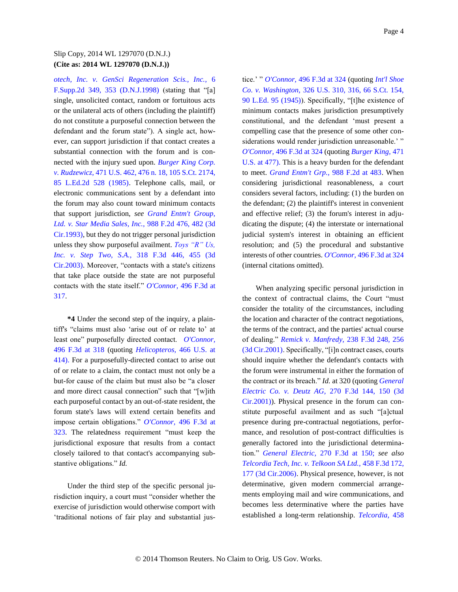*[otech, Inc. v. GenSci Regeneration Scis., Inc.,](http://www.westlaw.com/Find/Default.wl?rs=dfa1.0&vr=2.0&DB=4637&FindType=Y&ReferencePositionType=S&SerialNum=1998117710&ReferencePosition=353)* [6](http://www.westlaw.com/Find/Default.wl?rs=dfa1.0&vr=2.0&DB=4637&FindType=Y&ReferencePositionType=S&SerialNum=1998117710&ReferencePosition=353)  [F.Supp.2d 349, 353 \(D.N.J.1998\)](http://www.westlaw.com/Find/Default.wl?rs=dfa1.0&vr=2.0&DB=4637&FindType=Y&ReferencePositionType=S&SerialNum=1998117710&ReferencePosition=353) (stating that "[a] single, unsolicited contact, random or fortuitous acts or the unilateral acts of others (including the plaintiff) do not constitute a purposeful connection between the defendant and the forum state"). A single act, however, can support jurisdiction if that contact creates a substantial connection with the forum and is connected with the injury sued upon. *[Burger King Corp.](http://www.westlaw.com/Find/Default.wl?rs=dfa1.0&vr=2.0&DB=708&FindType=Y&SerialNum=1985125841)  [v. Rudzewicz,](http://www.westlaw.com/Find/Default.wl?rs=dfa1.0&vr=2.0&DB=708&FindType=Y&SerialNum=1985125841)* [471 U.S. 462, 476 n. 18, 105 S.Ct. 2174,](http://www.westlaw.com/Find/Default.wl?rs=dfa1.0&vr=2.0&DB=708&FindType=Y&SerialNum=1985125841)  [85 L.Ed.2d 528 \(1985\).](http://www.westlaw.com/Find/Default.wl?rs=dfa1.0&vr=2.0&DB=708&FindType=Y&SerialNum=1985125841) Telephone calls, mail, or electronic communications sent by a defendant into the forum may also count toward minimum contacts that support jurisdiction, *see [Grand Entm't Group,](http://www.westlaw.com/Find/Default.wl?rs=dfa1.0&vr=2.0&DB=350&FindType=Y&ReferencePositionType=S&SerialNum=1993070530&ReferencePosition=482)  [Ltd. v. Star Media Sales, Inc.,](http://www.westlaw.com/Find/Default.wl?rs=dfa1.0&vr=2.0&DB=350&FindType=Y&ReferencePositionType=S&SerialNum=1993070530&ReferencePosition=482)* [988 F.2d 476, 482 \(3d](http://www.westlaw.com/Find/Default.wl?rs=dfa1.0&vr=2.0&DB=350&FindType=Y&ReferencePositionType=S&SerialNum=1993070530&ReferencePosition=482)  [Cir.1993\),](http://www.westlaw.com/Find/Default.wl?rs=dfa1.0&vr=2.0&DB=350&FindType=Y&ReferencePositionType=S&SerialNum=1993070530&ReferencePosition=482) but they do not trigger personal jurisdiction unless they show purposeful availment. *[Toys "R" Us,](http://www.westlaw.com/Find/Default.wl?rs=dfa1.0&vr=2.0&DB=506&FindType=Y&ReferencePositionType=S&SerialNum=2003112355&ReferencePosition=455)  [Inc. v. Step Two, S.A.,](http://www.westlaw.com/Find/Default.wl?rs=dfa1.0&vr=2.0&DB=506&FindType=Y&ReferencePositionType=S&SerialNum=2003112355&ReferencePosition=455)* [318 F.3d 446, 455 \(3d](http://www.westlaw.com/Find/Default.wl?rs=dfa1.0&vr=2.0&DB=506&FindType=Y&ReferencePositionType=S&SerialNum=2003112355&ReferencePosition=455)  [Cir.2003\).](http://www.westlaw.com/Find/Default.wl?rs=dfa1.0&vr=2.0&DB=506&FindType=Y&ReferencePositionType=S&SerialNum=2003112355&ReferencePosition=455) Moreover, "contacts with a state's citizens that take place outside the state are not purposeful contacts with the state itself." *[O'Connor,](http://www.westlaw.com/Find/Default.wl?rs=dfa1.0&vr=2.0&DB=506&FindType=Y&ReferencePositionType=S&SerialNum=2012787341&ReferencePosition=317)* [496 F.3d at](http://www.westlaw.com/Find/Default.wl?rs=dfa1.0&vr=2.0&DB=506&FindType=Y&ReferencePositionType=S&SerialNum=2012787341&ReferencePosition=317)  [317.](http://www.westlaw.com/Find/Default.wl?rs=dfa1.0&vr=2.0&DB=506&FindType=Y&ReferencePositionType=S&SerialNum=2012787341&ReferencePosition=317)

**\*4** Under the second step of the inquiry, a plaintiff's "claims must also 'arise out of or relate to' at least one" purposefully directed contact. *[O'Connor,](http://www.westlaw.com/Find/Default.wl?rs=dfa1.0&vr=2.0&DB=506&FindType=Y&ReferencePositionType=S&SerialNum=2012787341&ReferencePosition=318)* [496 F.3d at 318](http://www.westlaw.com/Find/Default.wl?rs=dfa1.0&vr=2.0&DB=506&FindType=Y&ReferencePositionType=S&SerialNum=2012787341&ReferencePosition=318) (quoting *[Helicopteros,](http://www.westlaw.com/Find/Default.wl?rs=dfa1.0&vr=2.0&DB=780&FindType=Y&ReferencePositionType=S&SerialNum=1984119960&ReferencePosition=414)* [466 U.S. at](http://www.westlaw.com/Find/Default.wl?rs=dfa1.0&vr=2.0&DB=780&FindType=Y&ReferencePositionType=S&SerialNum=1984119960&ReferencePosition=414)  [414\).](http://www.westlaw.com/Find/Default.wl?rs=dfa1.0&vr=2.0&DB=780&FindType=Y&ReferencePositionType=S&SerialNum=1984119960&ReferencePosition=414) For a purposefully-directed contact to arise out of or relate to a claim, the contact must not only be a but-for cause of the claim but must also be "a closer and more direct causal connection" such that "[w]ith each purposeful contact by an out-of-state resident, the forum state's laws will extend certain benefits and impose certain obligations." *[O'Connor,](http://www.westlaw.com/Find/Default.wl?rs=dfa1.0&vr=2.0&DB=506&FindType=Y&ReferencePositionType=S&SerialNum=2012787341&ReferencePosition=323)* [496 F.3d at](http://www.westlaw.com/Find/Default.wl?rs=dfa1.0&vr=2.0&DB=506&FindType=Y&ReferencePositionType=S&SerialNum=2012787341&ReferencePosition=323)  [323.](http://www.westlaw.com/Find/Default.wl?rs=dfa1.0&vr=2.0&DB=506&FindType=Y&ReferencePositionType=S&SerialNum=2012787341&ReferencePosition=323) The relatedness requirement "must keep the jurisdictional exposure that results from a contact closely tailored to that contact's accompanying substantive obligations." *Id.*

Under the third step of the specific personal jurisdiction inquiry, a court must "consider whether the exercise of jurisdiction would otherwise comport with 'traditional notions of fair play and substantial jus-

tice.' " *[O'Connor,](http://www.westlaw.com/Find/Default.wl?rs=dfa1.0&vr=2.0&DB=506&FindType=Y&ReferencePositionType=S&SerialNum=2012787341&ReferencePosition=324)* [496 F.3d at 324](http://www.westlaw.com/Find/Default.wl?rs=dfa1.0&vr=2.0&DB=506&FindType=Y&ReferencePositionType=S&SerialNum=2012787341&ReferencePosition=324) (quoting *[Int'l Shoe](http://www.westlaw.com/Find/Default.wl?rs=dfa1.0&vr=2.0&DB=708&FindType=Y&SerialNum=1945114956)  [Co. v. Washington,](http://www.westlaw.com/Find/Default.wl?rs=dfa1.0&vr=2.0&DB=708&FindType=Y&SerialNum=1945114956)* [326 U.S. 310, 316, 66 S.Ct. 154,](http://www.westlaw.com/Find/Default.wl?rs=dfa1.0&vr=2.0&DB=708&FindType=Y&SerialNum=1945114956)  [90 L.Ed. 95 \(1945\)\)](http://www.westlaw.com/Find/Default.wl?rs=dfa1.0&vr=2.0&DB=708&FindType=Y&SerialNum=1945114956). Specifically, "[t]he existence of minimum contacts makes jurisdiction presumptively constitutional, and the defendant 'must present a compelling case that the presence of some other considerations would render jurisdiction unreasonable.' " *[O'Connor,](http://www.westlaw.com/Find/Default.wl?rs=dfa1.0&vr=2.0&DB=506&FindType=Y&ReferencePositionType=S&SerialNum=2012787341&ReferencePosition=324)* [496 F.3d at 324](http://www.westlaw.com/Find/Default.wl?rs=dfa1.0&vr=2.0&DB=506&FindType=Y&ReferencePositionType=S&SerialNum=2012787341&ReferencePosition=324) (quoting *[Burger King,](http://www.westlaw.com/Find/Default.wl?rs=dfa1.0&vr=2.0&DB=780&FindType=Y&ReferencePositionType=S&SerialNum=1985125841&ReferencePosition=477)* [471](http://www.westlaw.com/Find/Default.wl?rs=dfa1.0&vr=2.0&DB=780&FindType=Y&ReferencePositionType=S&SerialNum=1985125841&ReferencePosition=477)  [U.S. at 477\).](http://www.westlaw.com/Find/Default.wl?rs=dfa1.0&vr=2.0&DB=780&FindType=Y&ReferencePositionType=S&SerialNum=1985125841&ReferencePosition=477) This is a heavy burden for the defendant to meet. *[Grand Entm't Grp.,](http://www.westlaw.com/Find/Default.wl?rs=dfa1.0&vr=2.0&DB=350&FindType=Y&ReferencePositionType=S&SerialNum=1993070530&ReferencePosition=483)* [988 F.2d at 483.](http://www.westlaw.com/Find/Default.wl?rs=dfa1.0&vr=2.0&DB=350&FindType=Y&ReferencePositionType=S&SerialNum=1993070530&ReferencePosition=483) When considering jurisdictional reasonableness, a court considers several factors, including: (1) the burden on the defendant; (2) the plaintiff's interest in convenient and effective relief; (3) the forum's interest in adjudicating the dispute; (4) the interstate or international judicial system's interest in obtaining an efficient resolution; and (5) the procedural and substantive interests of other countries. *[O'Connor,](http://www.westlaw.com/Find/Default.wl?rs=dfa1.0&vr=2.0&DB=506&FindType=Y&ReferencePositionType=S&SerialNum=2012787341&ReferencePosition=324)* [496 F.3d at 324](http://www.westlaw.com/Find/Default.wl?rs=dfa1.0&vr=2.0&DB=506&FindType=Y&ReferencePositionType=S&SerialNum=2012787341&ReferencePosition=324) (internal citations omitted).

When analyzing specific personal jurisdiction in the context of contractual claims, the Court "must consider the totality of the circumstances, including the location and character of the contract negotiations, the terms of the contract, and the parties' actual course of dealing." *[Remick v. Manfredy,](http://www.westlaw.com/Find/Default.wl?rs=dfa1.0&vr=2.0&DB=506&FindType=Y&ReferencePositionType=S&SerialNum=2001092464&ReferencePosition=256)* [238 F.3d 248, 256](http://www.westlaw.com/Find/Default.wl?rs=dfa1.0&vr=2.0&DB=506&FindType=Y&ReferencePositionType=S&SerialNum=2001092464&ReferencePosition=256)  [\(3d Cir.2001\).](http://www.westlaw.com/Find/Default.wl?rs=dfa1.0&vr=2.0&DB=506&FindType=Y&ReferencePositionType=S&SerialNum=2001092464&ReferencePosition=256) Specifically, "[i]n contract cases, courts should inquire whether the defendant's contacts with the forum were instrumental in either the formation of the contract or its breach." *Id.* at 320 (quoting *[General](http://www.westlaw.com/Find/Default.wl?rs=dfa1.0&vr=2.0&DB=506&FindType=Y&ReferencePositionType=S&SerialNum=2001929456&ReferencePosition=150)  [Electric Co. v. Deutz AG,](http://www.westlaw.com/Find/Default.wl?rs=dfa1.0&vr=2.0&DB=506&FindType=Y&ReferencePositionType=S&SerialNum=2001929456&ReferencePosition=150)* [270 F.3d 144, 150 \(3d](http://www.westlaw.com/Find/Default.wl?rs=dfa1.0&vr=2.0&DB=506&FindType=Y&ReferencePositionType=S&SerialNum=2001929456&ReferencePosition=150)  [Cir.2001\)\)](http://www.westlaw.com/Find/Default.wl?rs=dfa1.0&vr=2.0&DB=506&FindType=Y&ReferencePositionType=S&SerialNum=2001929456&ReferencePosition=150). Physical presence in the forum can constitute purposeful availment and as such "[a]ctual presence during pre-contractual negotiations, performance, and resolution of post-contract difficulties is generally factored into the jurisdictional determination." *[General Electric,](http://www.westlaw.com/Find/Default.wl?rs=dfa1.0&vr=2.0&DB=506&FindType=Y&ReferencePositionType=S&SerialNum=2001929456&ReferencePosition=150)* [270 F.3d at 150;](http://www.westlaw.com/Find/Default.wl?rs=dfa1.0&vr=2.0&DB=506&FindType=Y&ReferencePositionType=S&SerialNum=2001929456&ReferencePosition=150) *see also [Telcordia Tech, Inc. v. Telkoon SA Ltd.,](http://www.westlaw.com/Find/Default.wl?rs=dfa1.0&vr=2.0&DB=506&FindType=Y&ReferencePositionType=S&SerialNum=2009723345&ReferencePosition=177)* [458 F.3d 172,](http://www.westlaw.com/Find/Default.wl?rs=dfa1.0&vr=2.0&DB=506&FindType=Y&ReferencePositionType=S&SerialNum=2009723345&ReferencePosition=177)  [177 \(3d Cir.2006\).](http://www.westlaw.com/Find/Default.wl?rs=dfa1.0&vr=2.0&DB=506&FindType=Y&ReferencePositionType=S&SerialNum=2009723345&ReferencePosition=177) Physical presence, however, is not determinative, given modern commercial arrangements employing mail and wire communications, and becomes less determinative where the parties have established a long-term relationship. *[Telcordia,](http://www.westlaw.com/Find/Default.wl?rs=dfa1.0&vr=2.0&DB=506&FindType=Y&ReferencePositionType=S&SerialNum=2009723345&ReferencePosition=177)* [458](http://www.westlaw.com/Find/Default.wl?rs=dfa1.0&vr=2.0&DB=506&FindType=Y&ReferencePositionType=S&SerialNum=2009723345&ReferencePosition=177)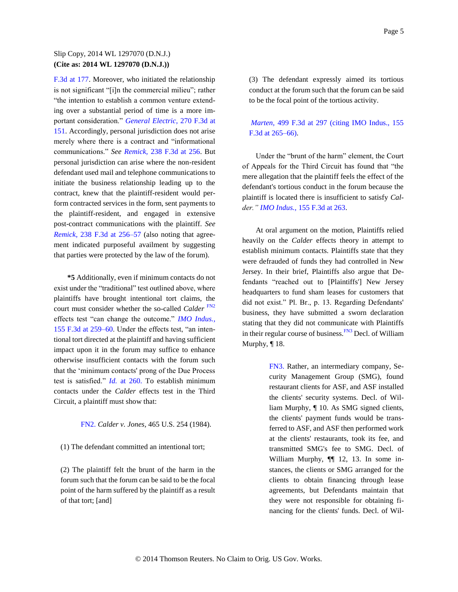[F.3d at 177.](http://www.westlaw.com/Find/Default.wl?rs=dfa1.0&vr=2.0&DB=506&FindType=Y&ReferencePositionType=S&SerialNum=2009723345&ReferencePosition=177) Moreover, who initiated the relationship is not significant "[i]n the commercial milieu"; rather "the intention to establish a common venture extending over a substantial period of time is a more important consideration." *[General Electric,](http://www.westlaw.com/Find/Default.wl?rs=dfa1.0&vr=2.0&DB=506&FindType=Y&ReferencePositionType=S&SerialNum=2001929456&ReferencePosition=151)* [270 F.3d at](http://www.westlaw.com/Find/Default.wl?rs=dfa1.0&vr=2.0&DB=506&FindType=Y&ReferencePositionType=S&SerialNum=2001929456&ReferencePosition=151)  [151.](http://www.westlaw.com/Find/Default.wl?rs=dfa1.0&vr=2.0&DB=506&FindType=Y&ReferencePositionType=S&SerialNum=2001929456&ReferencePosition=151) Accordingly, personal jurisdiction does not arise merely where there is a contract and "informational communications." *See [Remick,](http://www.westlaw.com/Find/Default.wl?rs=dfa1.0&vr=2.0&DB=506&FindType=Y&ReferencePositionType=S&SerialNum=2001092464&ReferencePosition=256)* [238 F.3d at 256.](http://www.westlaw.com/Find/Default.wl?rs=dfa1.0&vr=2.0&DB=506&FindType=Y&ReferencePositionType=S&SerialNum=2001092464&ReferencePosition=256) But personal jurisdiction can arise where the non-resident defendant used mail and telephone communications to initiate the business relationship leading up to the contract, knew that the plaintiff-resident would perform contracted services in the form, sent payments to the plaintiff-resident, and engaged in extensive post-contract communications with the plaintiff. *See [Remick,](http://www.westlaw.com/Find/Default.wl?rs=dfa1.0&vr=2.0&DB=506&FindType=Y&ReferencePositionType=S&SerialNum=2001092464&ReferencePosition=256)* [238 F.3d at 256–57](http://www.westlaw.com/Find/Default.wl?rs=dfa1.0&vr=2.0&DB=506&FindType=Y&ReferencePositionType=S&SerialNum=2001092464&ReferencePosition=256) (also noting that agreement indicated purposeful availment by suggesting that parties were protected by the law of the forum).

**\*5** Additionally, even if minimum contacts do not exist under the "traditional" test outlined above, where plaintiffs have brought intentional tort claims, the court must consider whether the so-called *Calder* [FN2](#page-4-0) effects test "can change the outcome." *[IMO Indus.,](http://www.westlaw.com/Find/Default.wl?rs=dfa1.0&vr=2.0&DB=506&FindType=Y&ReferencePositionType=S&SerialNum=1998184326&ReferencePosition=259)* [155 F.3d at 259–60.](http://www.westlaw.com/Find/Default.wl?rs=dfa1.0&vr=2.0&DB=506&FindType=Y&ReferencePositionType=S&SerialNum=1998184326&ReferencePosition=259) Under the effects test, "an intentional tort directed at the plaintiff and having sufficient impact upon it in the forum may suffice to enhance otherwise insufficient contacts with the forum such that the 'minimum contacts' prong of the Due Process test is satisfied." *[Id.](http://www.westlaw.com/Find/Default.wl?rs=dfa1.0&vr=2.0&FindType=Y&SerialNum=1998184326)* [at 260.](http://www.westlaw.com/Find/Default.wl?rs=dfa1.0&vr=2.0&FindType=Y&SerialNum=1998184326) To establish minimum contacts under the *Calder* effects test in the Third Circuit, a plaintiff must show that:

### <span id="page-4-0"></span>[FN2.](#page-4-1) *Calder v. Jones,* 465 U.S. 254 (1984).

### (1) The defendant committed an intentional tort;

(2) The plaintiff felt the brunt of the harm in the forum such that the forum can be said to be the focal point of the harm suffered by the plaintiff as a result of that tort; [and]

(3) The defendant expressly aimed its tortious conduct at the forum such that the forum can be said to be the focal point of the tortious activity.

*[Marten,](http://www.westlaw.com/Find/Default.wl?rs=dfa1.0&vr=2.0&DB=506&FindType=Y&ReferencePositionType=S&SerialNum=2012961162&ReferencePosition=297)* [499 F.3d at 297 \(citing IMO Indus., 155](http://www.westlaw.com/Find/Default.wl?rs=dfa1.0&vr=2.0&DB=506&FindType=Y&ReferencePositionType=S&SerialNum=2012961162&ReferencePosition=297)  [F.3d at 265–66\).](http://www.westlaw.com/Find/Default.wl?rs=dfa1.0&vr=2.0&DB=506&FindType=Y&ReferencePositionType=S&SerialNum=2012961162&ReferencePosition=297)

Under the "brunt of the harm" element, the Court of Appeals for the Third Circuit has found that "the mere allegation that the plaintiff feels the effect of the defendant's tortious conduct in the forum because the plaintiff is located there is insufficient to satisfy *Calder." [IMO Indus.,](http://www.westlaw.com/Find/Default.wl?rs=dfa1.0&vr=2.0&DB=506&FindType=Y&ReferencePositionType=S&SerialNum=1998184326&ReferencePosition=263)* [155 F.3d at 263.](http://www.westlaw.com/Find/Default.wl?rs=dfa1.0&vr=2.0&DB=506&FindType=Y&ReferencePositionType=S&SerialNum=1998184326&ReferencePosition=263)

At oral argument on the motion, Plaintiffs relied heavily on the *Calder* effects theory in attempt to establish minimum contacts. Plaintiffs state that they were defrauded of funds they had controlled in New Jersey. In their brief, Plaintiffs also argue that Defendants "reached out to [Plaintiffs'] New Jersey headquarters to fund sham leases for customers that did not exist." Pl. Br., p. 13. Regarding Defendants' business, they have submitted a sworn declaration stating that they did not communicate with Plaintiffs in their regular course of business.<sup>[FN3](#page-4-2)</sup> Decl. of William Murphy, ¶ 18.

> <span id="page-4-3"></span><span id="page-4-2"></span><span id="page-4-1"></span>[FN3.](#page-4-3) Rather, an intermediary company, Security Management Group (SMG), found restaurant clients for ASF, and ASF installed the clients' security systems. Decl. of William Murphy, ¶ 10. As SMG signed clients, the clients' payment funds would be transferred to ASF, and ASF then performed work at the clients' restaurants, took its fee, and transmitted SMG's fee to SMG. Decl. of William Murphy,  $\P$  12, 13. In some instances, the clients or SMG arranged for the clients to obtain financing through lease agreements, but Defendants maintain that they were not responsible for obtaining financing for the clients' funds. Decl. of Wil-